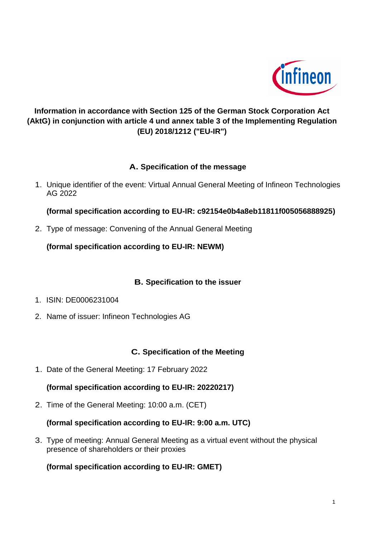

# **Information in accordance with Section 125 of the German Stock Corporation Act (AktG) in conjunction with article 4 und annex table 3 of the Implementing Regulation (EU) 2018/1212 ("EU-IR")**

## **A. Specification of the message**

1. Unique identifier of the event: Virtual Annual General Meeting of Infineon Technologies AG 2022

**(formal specification according to EU-IR: c92154e0b4a8eb11811f005056888925)**

2. Type of message: Convening of the Annual General Meeting

**(formal specification according to EU-IR: NEWM)**

## **B. Specification to the issuer**

- 1. ISIN: DE0006231004
- 2. Name of issuer: Infineon Technologies AG

#### **C. Specification of the Meeting**

1. Date of the General Meeting: 17 February 2022

#### **(formal specification according to EU-IR: 20220217)**

2. Time of the General Meeting: 10:00 a.m. (CET)

#### **(formal specification according to EU-IR: 9:00 a.m. UTC)**

3. Type of meeting: Annual General Meeting as a virtual event without the physical presence of shareholders or their proxies

## **(formal specification according to EU-IR: GMET)**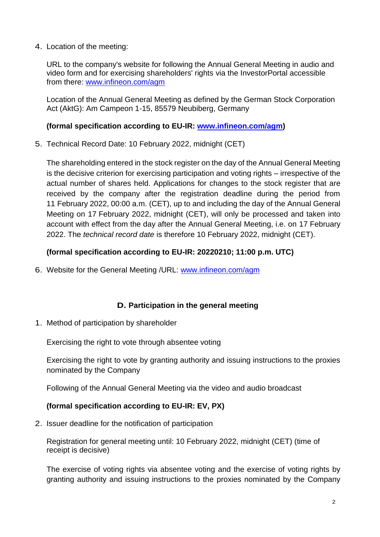4. Location of the meeting:

URL to the company's website for following the Annual General Meeting in audio and video form and for exercising shareholders' rights via the InvestorPortal accessible from there: [www.infineon.com/agm](http://www.infineon.com/agm)

Location of the Annual General Meeting as defined by the German Stock Corporation Act (AktG): Am Campeon 1-15, 85579 Neubiberg, Germany

#### **(formal specification according to EU-IR: [www.infineon.com/agm\)](http://www.infineon.com/agm)**

5. Technical Record Date: 10 February 2022, midnight (CET)

The shareholding entered in the stock register on the day of the Annual General Meeting is the decisive criterion for exercising participation and voting rights – irrespective of the actual number of shares held. Applications for changes to the stock register that are received by the company after the registration deadline during the period from 11 February 2022, 00:00 a.m. (CET), up to and including the day of the Annual General Meeting on 17 February 2022, midnight (CET), will only be processed and taken into account with effect from the day after the Annual General Meeting, i.e. on 17 February 2022. The *technical record date* is therefore 10 February 2022, midnight (CET).

### **(formal specification according to EU-IR: 20220210; 11:00 p.m. UTC)**

6. Website for the General Meeting /URL: [www.infineon.com/agm](http://www.infineon.com/agm)

#### **D. Participation in the general meeting**

1. Method of participation by shareholder

Exercising the right to vote through absentee voting

Exercising the right to vote by granting authority and issuing instructions to the proxies nominated by the Company

Following of the Annual General Meeting via the video and audio broadcast

#### **(formal specification according to EU-IR: EV, PX)**

2. Issuer deadline for the notification of participation

Registration for general meeting until: 10 February 2022, midnight (CET) (time of receipt is decisive)

The exercise of voting rights via absentee voting and the exercise of voting rights by granting authority and issuing instructions to the proxies nominated by the Company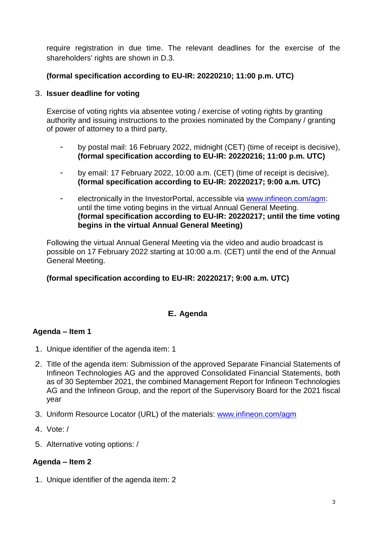require registration in due time. The relevant deadlines for the exercise of the shareholders' rights are shown in D.3.

### **(formal specification according to EU-IR: 20220210; 11:00 p.m. UTC)**

#### 3. **Issuer deadline for voting**

Exercise of voting rights via absentee voting / exercise of voting rights by granting authority and issuing instructions to the proxies nominated by the Company / granting of power of attorney to a third party,

- by postal mail: 16 February 2022, midnight (CET) (time of receipt is decisive), **(formal specification according to EU-IR: 20220216; 11:00 p.m. UTC)**
- by email: 17 February 2022, 10:00 a.m. (CET) (time of receipt is decisive), **(formal specification according to EU-IR: 20220217; 9:00 a.m. UTC)**
- electronically in the InvestorPortal, accessible via [www.infineon.com/agm:](http://www.infineon.com/agm) until the time voting begins in the virtual Annual General Meeting. **(formal specification according to EU-IR: 20220217; until the time voting begins in the virtual Annual General Meeting)**

Following the virtual Annual General Meeting via the video and audio broadcast is possible on 17 February 2022 starting at 10:00 a.m. (CET) until the end of the Annual General Meeting.

#### **(formal specification according to EU-IR: 20220217; 9:00 a.m. UTC)**

## **E. Agenda**

#### **Agenda – Item 1**

- 1. Unique identifier of the agenda item: 1
- 2. Title of the agenda item: Submission of the approved Separate Financial Statements of Infineon Technologies AG and the approved Consolidated Financial Statements, both as of 30 September 2021, the combined Management Report for Infineon Technologies AG and the Infineon Group, and the report of the Supervisory Board for the 2021 fiscal year
- 3. Uniform Resource Locator (URL) of the materials: [www.infineon.com/agm](http://www.infineon.com/agm)
- 4. Vote: /
- 5. Alternative voting options: /

#### **Agenda – Item 2**

1. Unique identifier of the agenda item: 2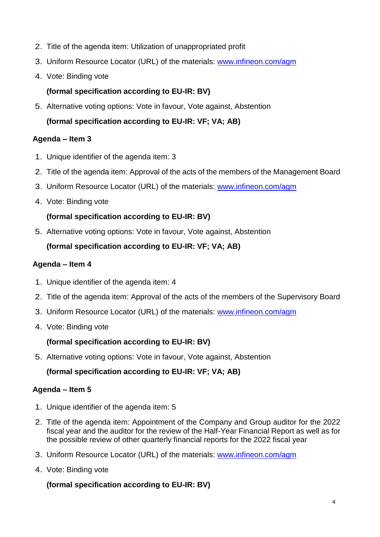- 2. Title of the agenda item: Utilization of unappropriated profit
- 3. Uniform Resource Locator (URL) of the materials: [www.infineon.com/agm](http://www.infineon.com/agm)
- 4. Vote: Binding vote

### **(formal specification according to EU-IR: BV)**

5. Alternative voting options: Vote in favour, Vote against, Abstention

**(formal specification according to EU-IR: VF; VA; AB)**

### **Agenda – Item 3**

- 1. Unique identifier of the agenda item: 3
- 2. Title of the agenda item: Approval of the acts of the members of the Management Board
- 3. Uniform Resource Locator (URL) of the materials: [www.infineon.com/agm](http://www.infineon.com/agm)
- 4. Vote: Binding vote

## **(formal specification according to EU-IR: BV)**

5. Alternative voting options: Vote in favour, Vote against, Abstention

## **(formal specification according to EU-IR: VF; VA; AB)**

### **Agenda – Item 4**

- 1. Unique identifier of the agenda item: 4
- 2. Title of the agenda item: Approval of the acts of the members of the Supervisory Board
- 3. Uniform Resource Locator (URL) of the materials: [www.infineon.com/agm](http://www.infineon.com/agm)
- 4. Vote: Binding vote

## **(formal specification according to EU-IR: BV)**

5. Alternative voting options: Vote in favour, Vote against, Abstention

## **(formal specification according to EU-IR: VF; VA; AB)**

#### **Agenda – Item 5**

- 1. Unique identifier of the agenda item: 5
- 2. Title of the agenda item: Appointment of the Company and Group auditor for the 2022 fiscal year and the auditor for the review of the Half-Year Financial Report as well as for the possible review of other quarterly financial reports for the 2022 fiscal year
- 3. Uniform Resource Locator (URL) of the materials: [www.infineon.com/agm](http://www.infineon.com/agm)
- 4. Vote: Binding vote

## **(formal specification according to EU-IR: BV)**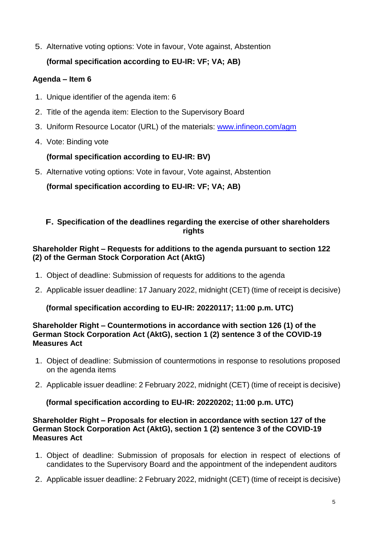5. Alternative voting options: Vote in favour, Vote against, Abstention

# **(formal specification according to EU-IR: VF; VA; AB)**

## **Agenda – Item 6**

- 1. Unique identifier of the agenda item: 6
- 2. Title of the agenda item: Election to the Supervisory Board
- 3. Uniform Resource Locator (URL) of the materials: [www.infineon.com/agm](http://www.infineon.com/agm)
- 4. Vote: Binding vote

## **(formal specification according to EU-IR: BV)**

5. Alternative voting options: Vote in favour, Vote against, Abstention

**(formal specification according to EU-IR: VF; VA; AB)**

### **F. Specification of the deadlines regarding the exercise of other shareholders rights**

### **Shareholder Right – Requests for additions to the agenda pursuant to section 122 (2) of the German Stock Corporation Act (AktG)**

- 1. Object of deadline: Submission of requests for additions to the agenda
- 2. Applicable issuer deadline: 17 January 2022, midnight (CET) (time of receipt is decisive)

## **(formal specification according to EU-IR: 20220117; 11:00 p.m. UTC)**

#### **Shareholder Right – Countermotions in accordance with section 126 (1) of the German Stock Corporation Act (AktG), section 1 (2) sentence 3 of the COVID-19 Measures Act**

- 1. Object of deadline: Submission of countermotions in response to resolutions proposed on the agenda items
- 2. Applicable issuer deadline: 2 February 2022, midnight (CET) (time of receipt is decisive)

## **(formal specification according to EU-IR: 20220202; 11:00 p.m. UTC)**

#### **Shareholder Right – Proposals for election in accordance with section 127 of the German Stock Corporation Act (AktG), section 1 (2) sentence 3 of the COVID-19 Measures Act**

- 1. Object of deadline: Submission of proposals for election in respect of elections of candidates to the Supervisory Board and the appointment of the independent auditors
- 2. Applicable issuer deadline: 2 February 2022, midnight (CET) (time of receipt is decisive)